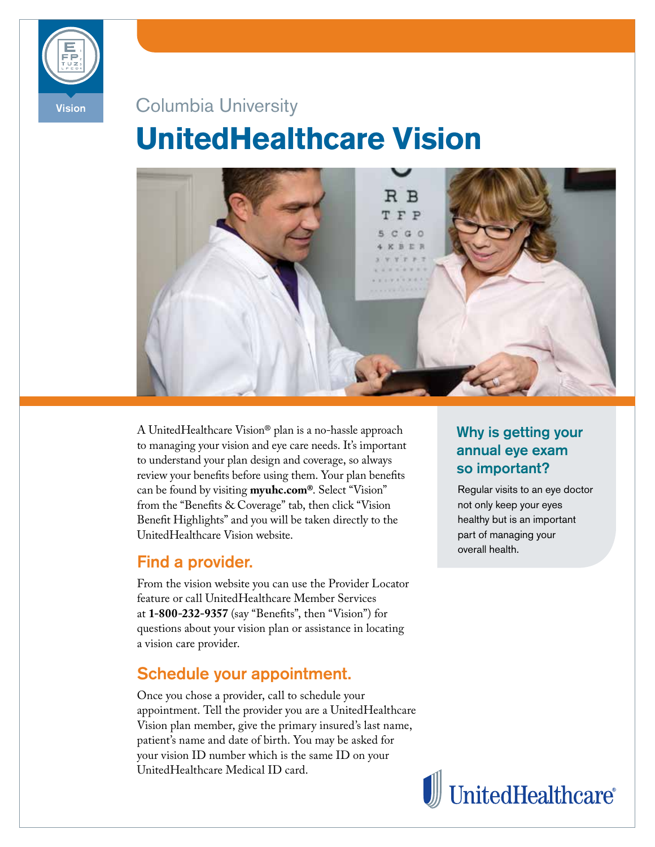

# Vision Columbia University **UnitedHealthcare Vision**



A UnitedHealthcare Vision® plan is a no-hassle approach to managing your vision and eye care needs. It's important to understand your plan design and coverage, so always review your benefts before using them. Your plan benefts can be found by visiting **myuhc.com®**. Select "Vision" from the "Benefts & Coverage" tab, then click "Vision Beneft Highlights" and you will be taken directly to the UnitedHealthcare Vision website.

### Find a provider.

From the vision website you can use the Provider Locator feature or call UnitedHealthcare Member Services at **1-800-232-9357** (say "Benefts", then "Vision") for questions about your vision plan or assistance in locating a vision care provider.

# Schedule your appointment.

Once you chose a provider, call to schedule your appointment. Tell the provider you are a UnitedHealthcare Vision plan member, give the primary insured's last name, patient's name and date of birth. You may be asked for your vision ID number which is the same ID on your UnitedHealthcare Medical ID card.

# Why is getting your annual eye exam so important?

Regular visits to an eye doctor not only keep your eyes healthy but is an important part of managing your overall health.